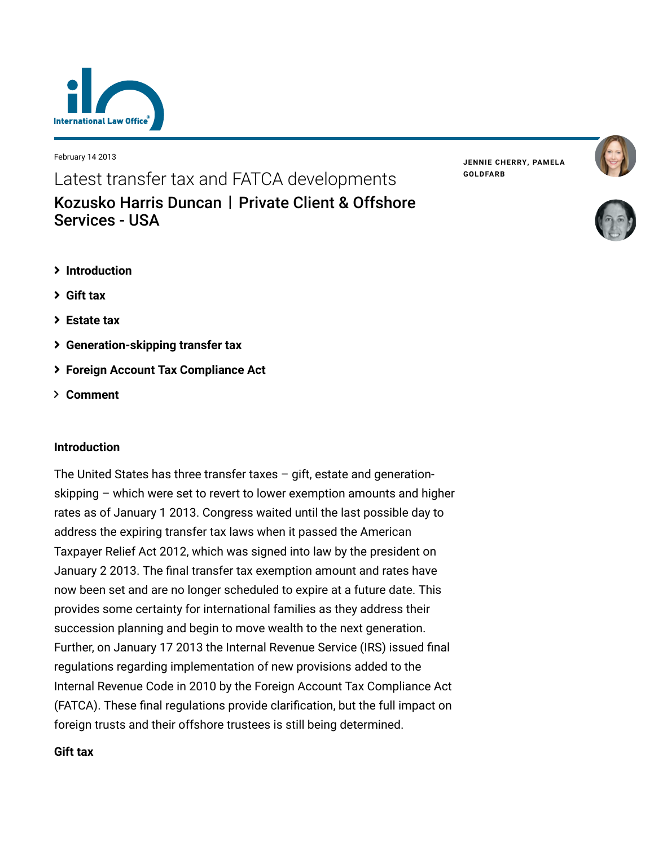

February 14 2013

Latest transfer tax and FATCA developments [Kozusko Harris Duncan](https://www.lexology.com/contributors/23364) | Private Client & Offshore Services - USA

- **[Introduction](#page-0-0)**
- **[Gift tax](#page-0-1)**
- **[Estate tax](#page-1-0)**
- **[Generation-skipping transfer tax](#page-2-0)**
- **[Foreign Account Tax Compliance Act](#page-3-0)**
- **[Comment](#page-7-0)**

### <span id="page-0-0"></span>**Introduction**

The United States has three transfer taxes – gift, estate and generationskipping – which were set to revert to lower exemption amounts and higher rates as of January 1 2013. Congress waited until the last possible day to address the expiring transfer tax laws when it passed the American Taxpayer Relief Act 2012, which was signed into law by the president on January 2 2013. The final transfer tax exemption amount and rates have now been set and are no longer scheduled to expire at a future date. This provides some certainty for international families as they address their succession planning and begin to move wealth to the next generation. Further, on January 17 2013 the Internal Revenue Service (IRS) issued final regulations regarding implementation of new provisions added to the Internal Revenue Code in 2010 by the Foreign Account Tax Compliance Act (FATCA). These final regulations provide clarification, but the full impact on foreign trusts and their offshore trustees is still being determined.

## <span id="page-0-1"></span>**Gift tax**

**JENNIE [CHERRY,](https://www.lexology.com/23364/author/Jennie_Cherry/) PAMELA [GOLDFARB](https://www.lexology.com/23364/author/Pamela_Goldfarb/)**



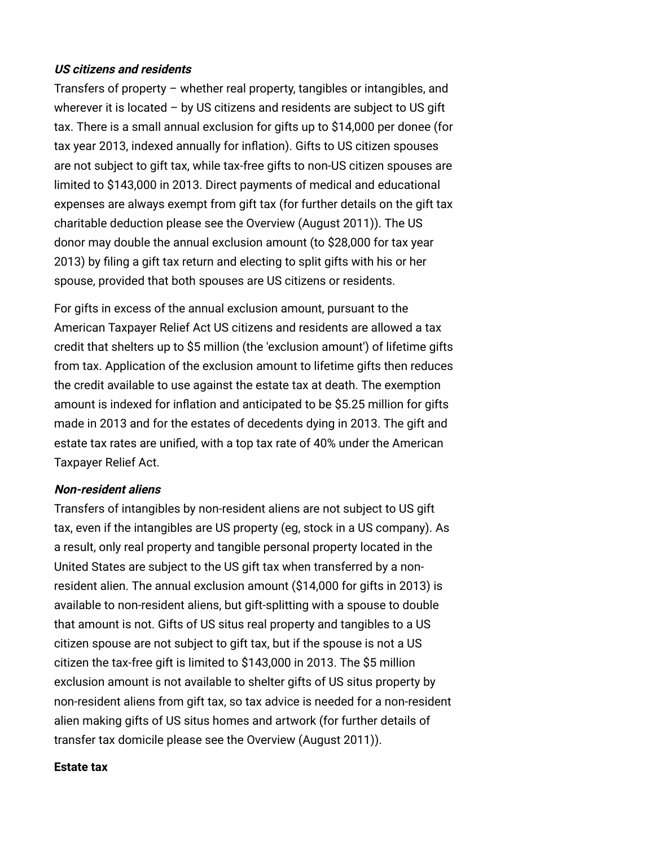### **US citizens and residents**

Transfers of property – whether real property, tangibles or intangibles, and wherever it is located – by US citizens and residents are subject to US gift tax. There is a small annual exclusion for gifts up to \$14,000 per donee (for tax year 2013, indexed annually for inflation). Gifts to US citizen spouses are not subject to gift tax, while tax-free gifts to non-US citizen spouses are limited to \$143,000 in 2013. Direct payments of medical and educational expenses are always exempt from gift tax (for further details on the gift tax charitable deduction please see the [Overview \(August 2011\)\)](http://www.internationallawoffice.com/Newsletters/Detail.aspx?g=429b7792-bd9b-46ca-aef0-2ae550fd9081). The US donor may double the annual exclusion amount (to \$28,000 for tax year 2013) by filing a gift tax return and electing to split gifts with his or her spouse, provided that both spouses are US citizens or residents.

For gifts in excess of the annual exclusion amount, pursuant to the American Taxpayer Relief Act US citizens and residents are allowed a tax credit that shelters up to \$5 million (the 'exclusion amount') of lifetime gifts from tax. Application of the exclusion amount to lifetime gifts then reduces the credit available to use against the estate tax at death. The exemption amount is indexed for inflation and anticipated to be \$5.25 million for gifts made in 2013 and for the estates of decedents dying in 2013. The gift and estate tax rates are unified, with a top tax rate of 40% under the American Taxpayer Relief Act.

#### **Non-resident aliens**

Transfers of intangibles by non-resident aliens are not subject to US gift tax, even if the intangibles are US property (eg, stock in a US company). As a result, only real property and tangible personal property located in the United States are subject to the US gift tax when transferred by a nonresident alien. The annual exclusion amount (\$14,000 for gifts in 2013) is available to non-resident aliens, but gift-splitting with a spouse to double that amount is not. Gifts of US situs real property and tangibles to a US citizen spouse are not subject to gift tax, but if the spouse is not a US citizen the tax-free gift is limited to \$143,000 in 2013. The \$5 million exclusion amount is not available to shelter gifts of US situs property by non-resident aliens from gift tax, so tax advice is needed for a non-resident alien making gifts of US situs homes and artwork (for further details of transfer tax domicile please see the [Overview \(August 2011\)](http://www.internationallawoffice.com/Newsletters/Detail.aspx?g=429b7792-bd9b-46ca-aef0-2ae550fd9081)).

#### <span id="page-1-0"></span>**Estate tax**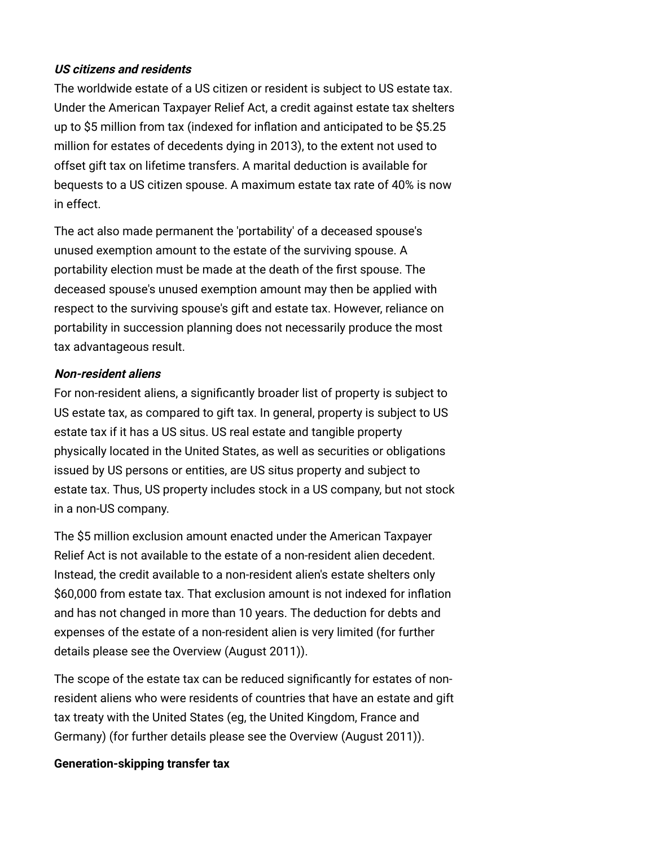## **US citizens and residents**

The worldwide estate of a US citizen or resident is subject to US estate tax. Under the American Taxpayer Relief Act, a credit against estate tax shelters up to \$5 million from tax (indexed for inflation and anticipated to be \$5.25 million for estates of decedents dying in 2013), to the extent not used to offset gift tax on lifetime transfers. A marital deduction is available for bequests to a US citizen spouse. A maximum estate tax rate of 40% is now in effect.

The act also made permanent the 'portability' of a deceased spouse's unused exemption amount to the estate of the surviving spouse. A portability election must be made at the death of the first spouse. The deceased spouse's unused exemption amount may then be applied with respect to the surviving spouse's gift and estate tax. However, reliance on portability in succession planning does not necessarily produce the most tax advantageous result.

## **Non-resident aliens**

For non-resident aliens, a significantly broader list of property is subject to US estate tax, as compared to gift tax. In general, property is subject to US estate tax if it has a US situs. US real estate and tangible property physically located in the United States, as well as securities or obligations issued by US persons or entities, are US situs property and subject to estate tax. Thus, US property includes stock in a US company, but not stock in a non-US company.

The \$5 million exclusion amount enacted under the American Taxpayer Relief Act is not available to the estate of a non-resident alien decedent. Instead, the credit available to a non-resident alien's estate shelters only \$60,000 from estate tax. That exclusion amount is not indexed for inflation and has not changed in more than 10 years. The deduction for debts and expenses of the estate of a non-resident alien is very limited (for further details please see the [Overview \(August 2011\)](http://www.internationallawoffice.com/Newsletters/Detail.aspx?g=429b7792-bd9b-46ca-aef0-2ae550fd9081)).

The scope of the estate tax can be reduced significantly for estates of nonresident aliens who were residents of countries that have an estate and gift tax treaty with the United States (eg, the United Kingdom, France and Germany) (for further details please see the [Overview \(August 2011\)](http://www.internationallawoffice.com/Newsletters/Detail.aspx?g=429b7792-bd9b-46ca-aef0-2ae550fd9081)).

### <span id="page-2-0"></span>**Generation-skipping transfer tax**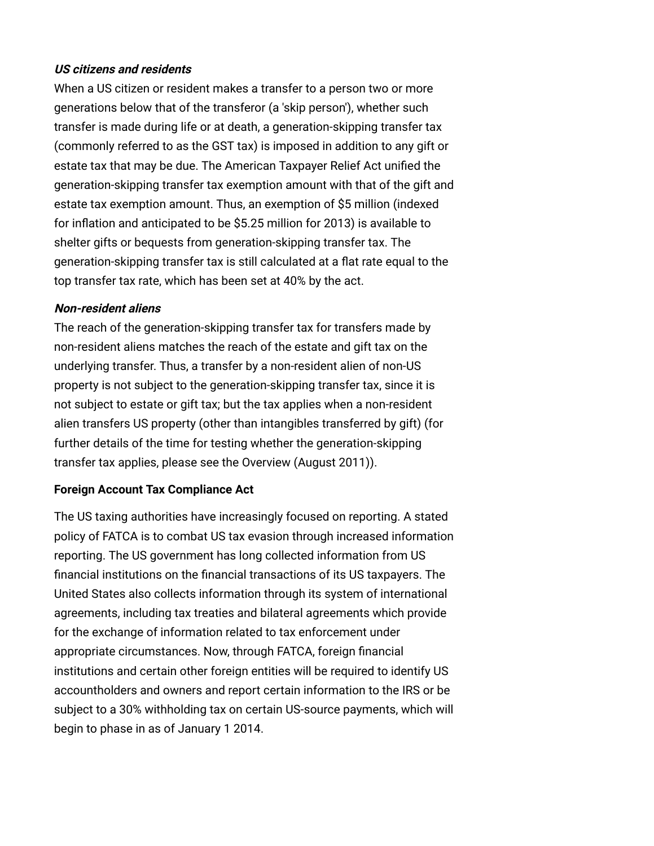## **US citizens and residents**

When a US citizen or resident makes a transfer to a person two or more generations below that of the transferor (a 'skip person'), whether such transfer is made during life or at death, a generation-skipping transfer tax (commonly referred to as the GST tax) is imposed in addition to any gift or estate tax that may be due. The American Taxpayer Relief Act unified the generation-skipping transfer tax exemption amount with that of the gift and estate tax exemption amount. Thus, an exemption of \$5 million (indexed for inflation and anticipated to be \$5.25 million for 2013) is available to shelter gifts or bequests from generation-skipping transfer tax. The generation-skipping transfer tax is still calculated at a flat rate equal to the top transfer tax rate, which has been set at 40% by the act.

### **Non-resident aliens**

The reach of the generation-skipping transfer tax for transfers made by non-resident aliens matches the reach of the estate and gift tax on the underlying transfer. Thus, a transfer by a non-resident alien of non-US property is not subject to the generation-skipping transfer tax, since it is not subject to estate or gift tax; but the tax applies when a non-resident alien transfers US property (other than intangibles transferred by gift) (for further details of the time for testing whether the generation-skipping transfer tax applies, please see th[e Overview \(August 2011\)\)](http://www.internationallawoffice.com/Newsletters/Detail.aspx?g=429b7792-bd9b-46ca-aef0-2ae550fd9081).

## <span id="page-3-0"></span>**Foreign Account Tax Compliance Act**

The US taxing authorities have increasingly focused on reporting. A stated policy of FATCA is to combat US tax evasion through increased information reporting. The US government has long collected information from US financial institutions on the financial transactions of its US taxpayers. The United States also collects information through its system of international agreements, including tax treaties and bilateral agreements which provide for the exchange of information related to tax enforcement under appropriate circumstances. Now, through FATCA, foreign financial institutions and certain other foreign entities will be required to identify US accountholders and owners and report certain information to the IRS or be subject to a 30% withholding tax on certain US-source payments, which will begin to phase in as of January 1 2014.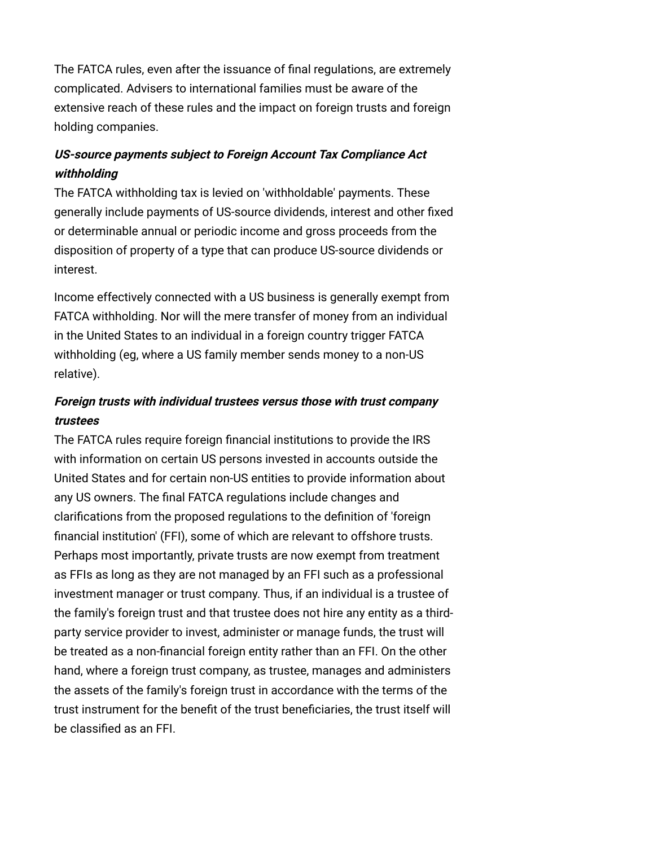The FATCA rules, even after the issuance of final regulations, are extremely complicated. Advisers to international families must be aware of the extensive reach of these rules and the impact on foreign trusts and foreign holding companies.

## **US-source payments subject to Foreign Account Tax Compliance Act withholding**

The FATCA withholding tax is levied on 'withholdable' payments. These generally include payments of US-source dividends, interest and other fixed or determinable annual or periodic income and gross proceeds from the disposition of property of a type that can produce US-source dividends or interest.

Income effectively connected with a US business is generally exempt from FATCA withholding. Nor will the mere transfer of money from an individual in the United States to an individual in a foreign country trigger FATCA withholding (eg, where a US family member sends money to a non-US relative).

# **Foreign trusts with individual trustees versus those with trust company trustees**

The FATCA rules require foreign financial institutions to provide the IRS with information on certain US persons invested in accounts outside the United States and for certain non-US entities to provide information about any US owners. The final FATCA regulations include changes and clarifications from the proposed regulations to the definition of 'foreign financial institution' (FFI), some of which are relevant to offshore trusts. Perhaps most importantly, private trusts are now exempt from treatment as FFIs as long as they are not managed by an FFI such as a professional investment manager or trust company. Thus, if an individual is a trustee of the family's foreign trust and that trustee does not hire any entity as a thirdparty service provider to invest, administer or manage funds, the trust will be treated as a non-financial foreign entity rather than an FFI. On the other hand, where a foreign trust company, as trustee, manages and administers the assets of the family's foreign trust in accordance with the terms of the trust instrument for the benefit of the trust beneficiaries, the trust itself will be classified as an FFI.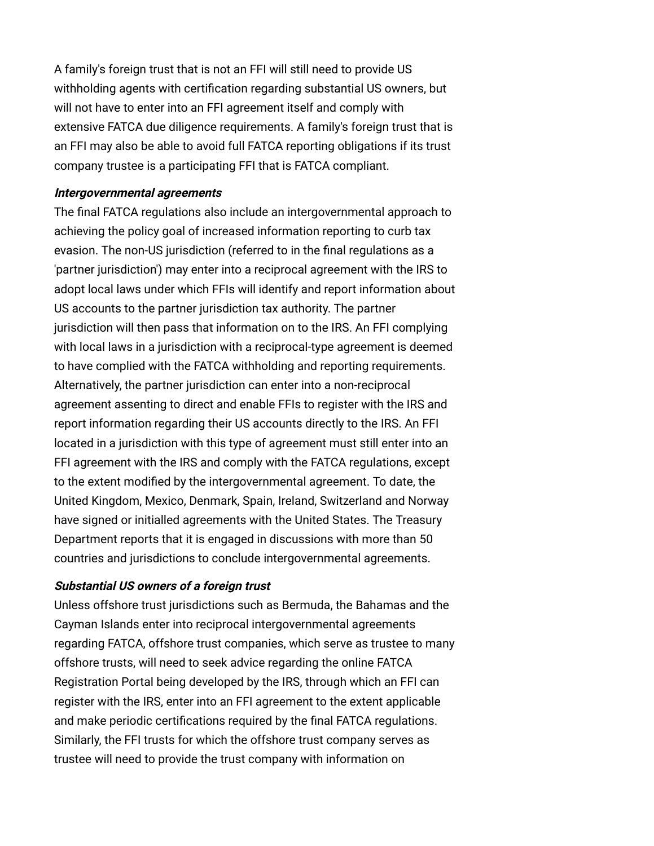A family's foreign trust that is not an FFI will still need to provide US withholding agents with certification regarding substantial US owners, but will not have to enter into an FFI agreement itself and comply with extensive FATCA due diligence requirements. A family's foreign trust that is an FFI may also be able to avoid full FATCA reporting obligations if its trust company trustee is a participating FFI that is FATCA compliant.

#### **Intergovernmental agreements**

The final FATCA regulations also include an intergovernmental approach to achieving the policy goal of increased information reporting to curb tax evasion. The non-US jurisdiction (referred to in the final regulations as a 'partner jurisdiction') may enter into a reciprocal agreement with the IRS to adopt local laws under which FFIs will identify and report information about US accounts to the partner jurisdiction tax authority. The partner jurisdiction will then pass that information on to the IRS. An FFI complying with local laws in a jurisdiction with a reciprocal-type agreement is deemed to have complied with the FATCA withholding and reporting requirements. Alternatively, the partner jurisdiction can enter into a non-reciprocal agreement assenting to direct and enable FFIs to register with the IRS and report information regarding their US accounts directly to the IRS. An FFI located in a jurisdiction with this type of agreement must still enter into an FFI agreement with the IRS and comply with the FATCA regulations, except to the extent modified by the intergovernmental agreement. To date, the United Kingdom, Mexico, Denmark, Spain, Ireland, Switzerland and Norway have signed or initialled agreements with the United States. The Treasury Department reports that it is engaged in discussions with more than 50 countries and jurisdictions to conclude intergovernmental agreements.

#### **Substantial US owners of a foreign trust**

Unless offshore trust jurisdictions such as Bermuda, the Bahamas and the Cayman Islands enter into reciprocal intergovernmental agreements regarding FATCA, offshore trust companies, which serve as trustee to many offshore trusts, will need to seek advice regarding the online FATCA Registration Portal being developed by the IRS, through which an FFI can register with the IRS, enter into an FFI agreement to the extent applicable and make periodic certifications required by the final FATCA regulations. Similarly, the FFI trusts for which the offshore trust company serves as trustee will need to provide the trust company with information on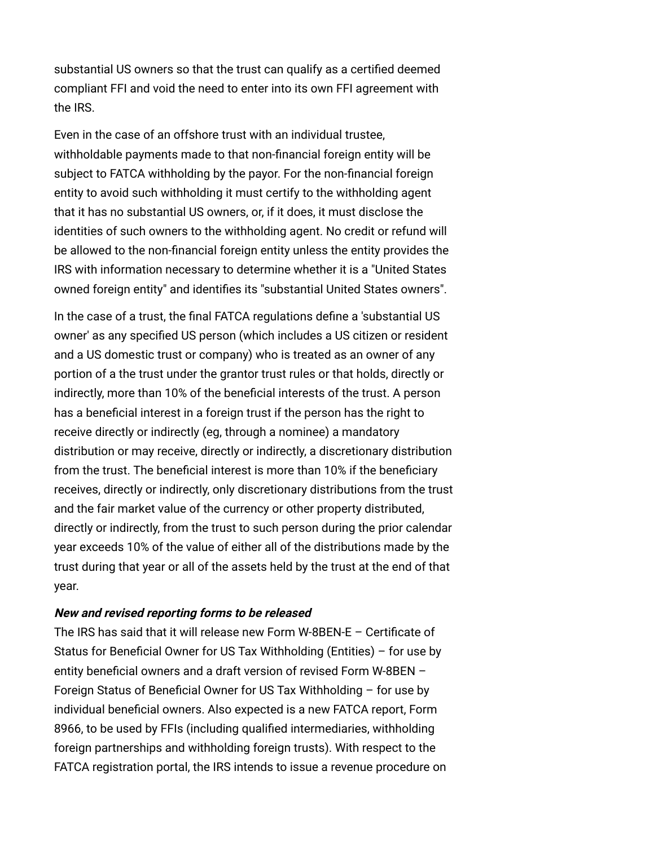substantial US owners so that the trust can qualify as a certified deemed compliant FFI and void the need to enter into its own FFI agreement with the IRS.

Even in the case of an offshore trust with an individual trustee, withholdable payments made to that non-financial foreign entity will be subject to FATCA withholding by the payor. For the non-financial foreign entity to avoid such withholding it must certify to the withholding agent that it has no substantial US owners, or, if it does, it must disclose the identities of such owners to the withholding agent. No credit or refund will be allowed to the non-financial foreign entity unless the entity provides the IRS with information necessary to determine whether it is a "United States owned foreign entity" and identifies its "substantial United States owners".

In the case of a trust, the final FATCA regulations define a 'substantial US owner' as any specified US person (which includes a US citizen or resident and a US domestic trust or company) who is treated as an owner of any portion of a the trust under the grantor trust rules or that holds, directly or indirectly, more than 10% of the beneficial interests of the trust. A person has a beneficial interest in a foreign trust if the person has the right to receive directly or indirectly (eg, through a nominee) a mandatory distribution or may receive, directly or indirectly, a discretionary distribution from the trust. The beneficial interest is more than 10% if the beneficiary receives, directly or indirectly, only discretionary distributions from the trust and the fair market value of the currency or other property distributed, directly or indirectly, from the trust to such person during the prior calendar year exceeds 10% of the value of either all of the distributions made by the trust during that year or all of the assets held by the trust at the end of that year.

#### **New and revised reporting forms to be released**

The IRS has said that it will release new Form W-8BEN-E – Certificate of Status for Beneficial Owner for US Tax Withholding (Entities) – for use by entity beneficial owners and a draft version of revised Form W-8BEN – Foreign Status of Beneficial Owner for US Tax Withholding – for use by individual beneficial owners. Also expected is a new FATCA report, Form 8966, to be used by FFIs (including qualified intermediaries, withholding foreign partnerships and withholding foreign trusts). With respect to the FATCA registration portal, the IRS intends to issue a revenue procedure on